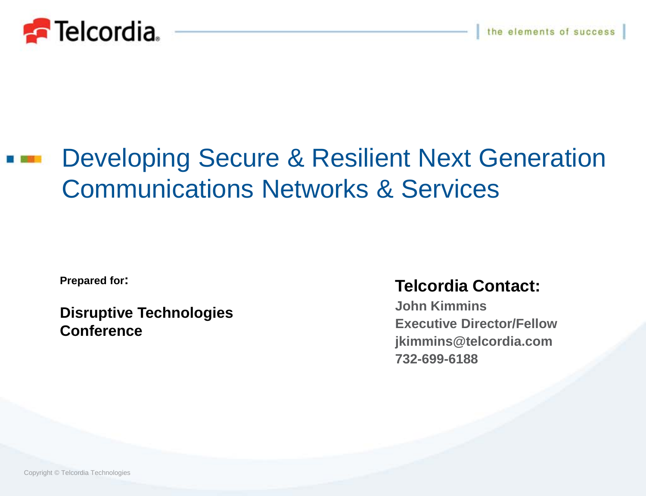

#### Developing Secure & Resilient Next Generation Communications Networks & Services

**Prepared for:**

**Disruptive Technologies Conference**

#### **Telcordia Contact:**

**John Kimmins Executive Director/Fellow jkimmins@telcordia.com 732-699-6188**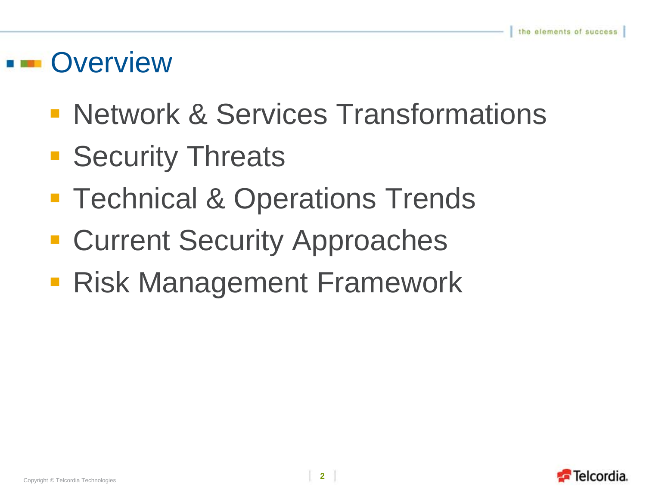#### **EXEC** Overview

- **Network & Services Transformations**
- **Security Threats**
- **Technical & Operations Trends**
- **Current Security Approaches**
- **Risk Management Framework**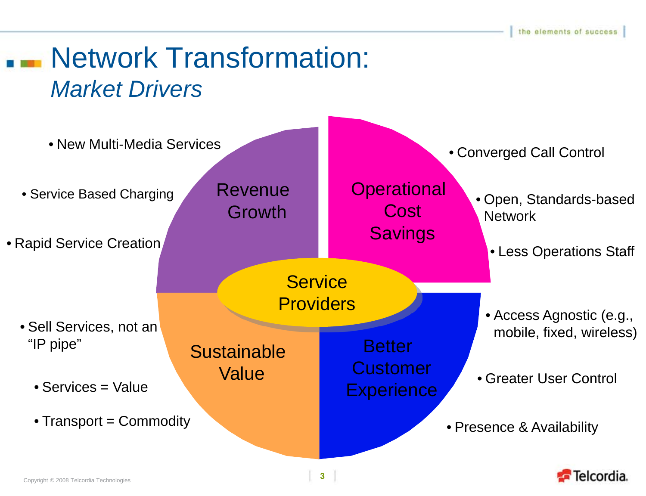#### Network Transformation: *Market Drivers*

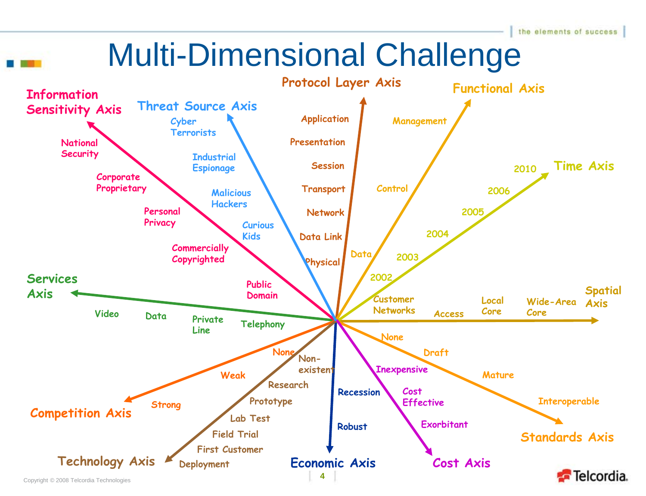# Multi-Dimensional Challenge

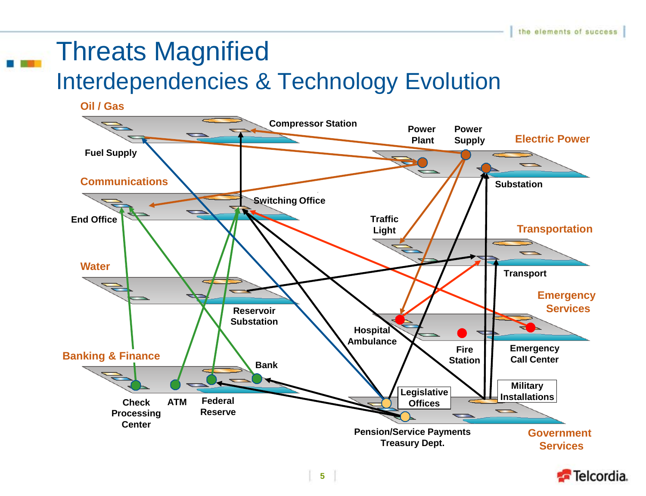#### Threats Magnified Interdependencies & Technology Evolution

**Oil / Gas**



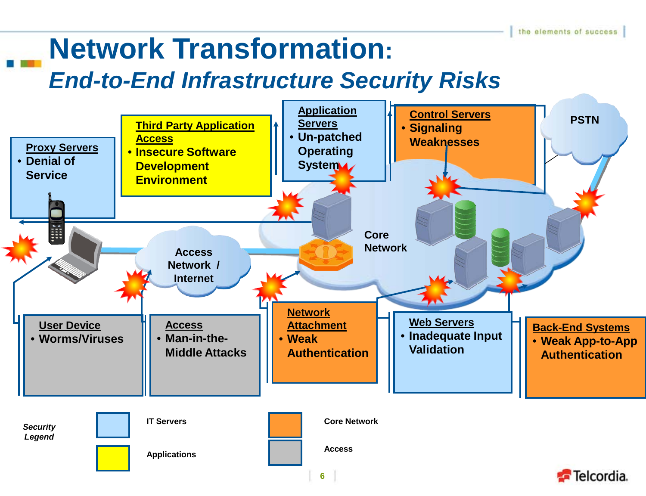#### **Network Transformation:**  *End-to-End Infrastructure Security Risks*

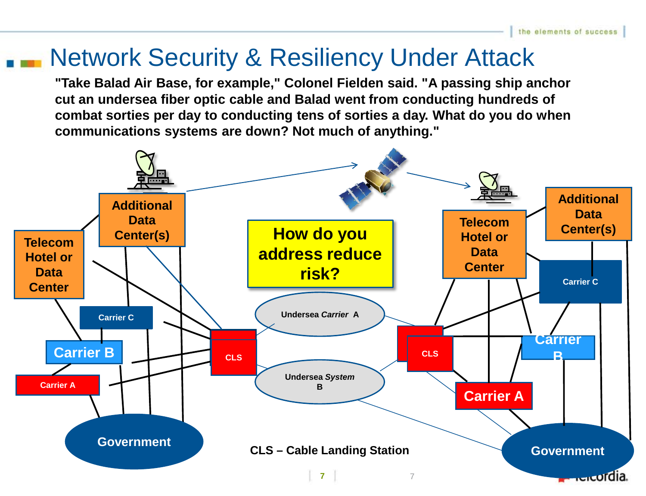#### Network Security & Resiliency Under Attack

**"Take Balad Air Base, for example," Colonel Fielden said. "A passing ship anchor cut an undersea fiber optic cable and Balad went from conducting hundreds of combat sorties per day to conducting tens of sorties a day. What do you do when communications systems are down? Not much of anything."**

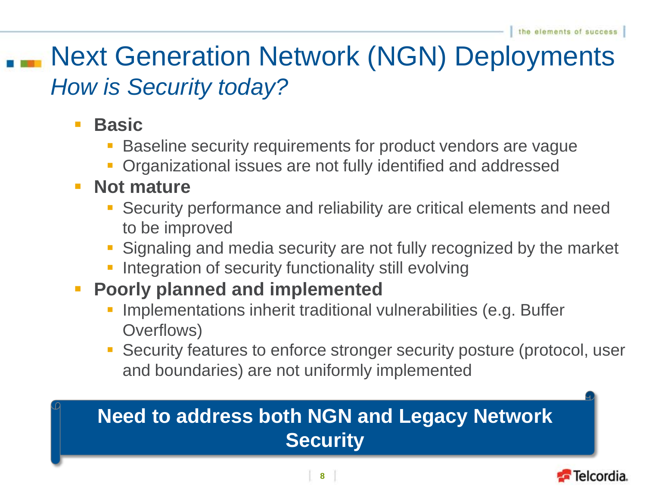#### Next Generation Network (NGN) Deployments *How is Security today?*

- **Basic**
	- Baseline security requirements for product vendors are vague
	- **Organizational issues are not fully identified and addressed**
- **Not mature** 
	- Security performance and reliability are critical elements and need to be improved
	- Signaling and media security are not fully recognized by the market
	- Integration of security functionality still evolving
- **Poorly planned and implemented**
	- Implementations inherit traditional vulnerabilities (e.g. Buffer Overflows)
	- Security features to enforce stronger security posture (protocol, user and boundaries) are not uniformly implemented

#### **Need to address both NGN and Legacy Network Security**

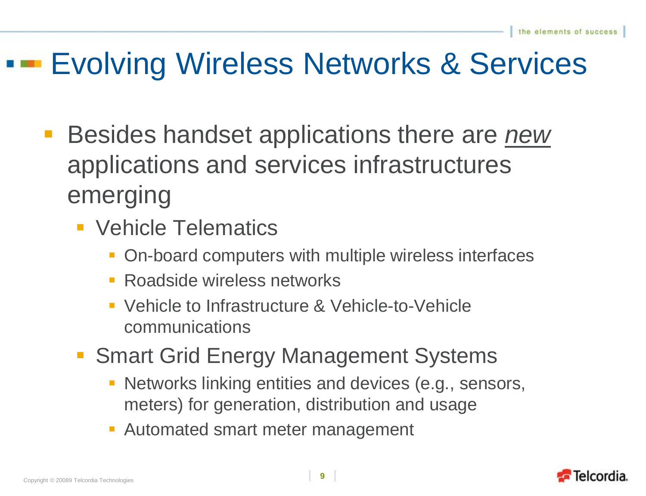### Evolving Wireless Networks & Services

- Besides handset applications there are *new* applications and services infrastructures emerging
	- **Vehicle Telematics** 
		- On-board computers with multiple wireless interfaces
		- **Roadside wireless networks**
		- Vehicle to Infrastructure & Vehicle-to-Vehicle communications
	- **Smart Grid Energy Management Systems** 
		- Networks linking entities and devices (e.g., sensors, meters) for generation, distribution and usage
		- Automated smart meter management

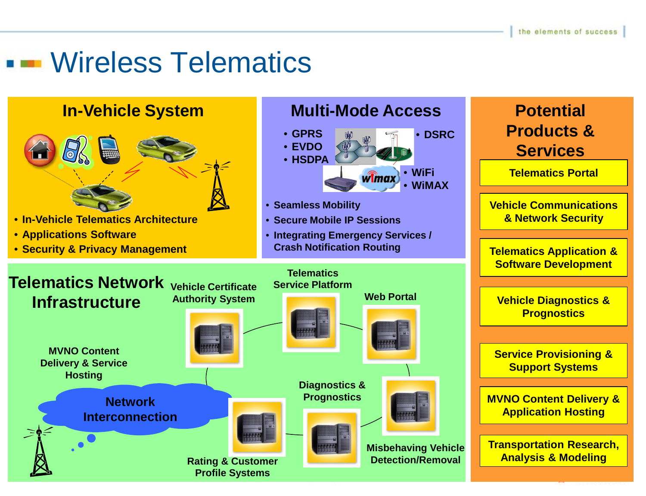#### **EXAMPLE Wireless Telematics**

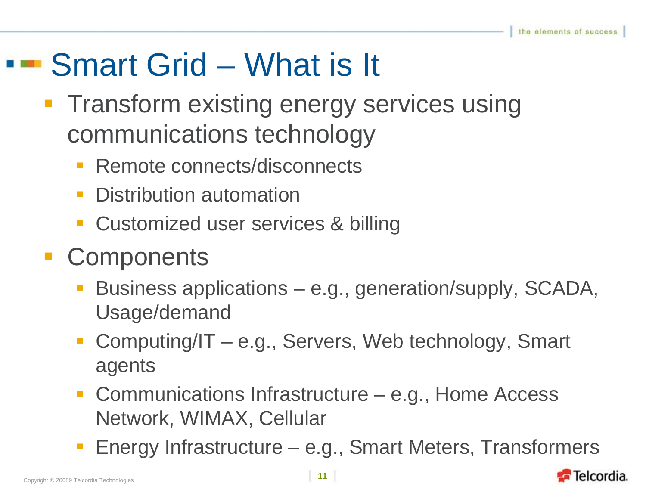# ■■ Smart Grid – What is It

- **Transform existing energy services using** communications technology
	- Remote connects/disconnects
	- **Distribution automation**
	- **Customized user services & billing**
- **Components** 
	- Business applications e.g., generation/supply, SCADA, Usage/demand
	- Computing/IT e.g., Servers, Web technology, Smart agents
	- Communications Infrastructure e.g., Home Access Network, WIMAX, Cellular
	- Energy Infrastructure e.g., Smart Meters, Transformers

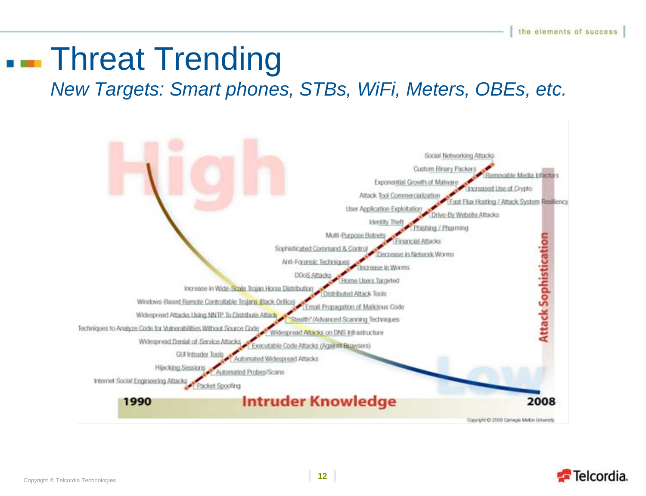## **Threat Trending**

*New Targets: Smart phones, STBs, WiFi, Meters, OBEs, etc.* 



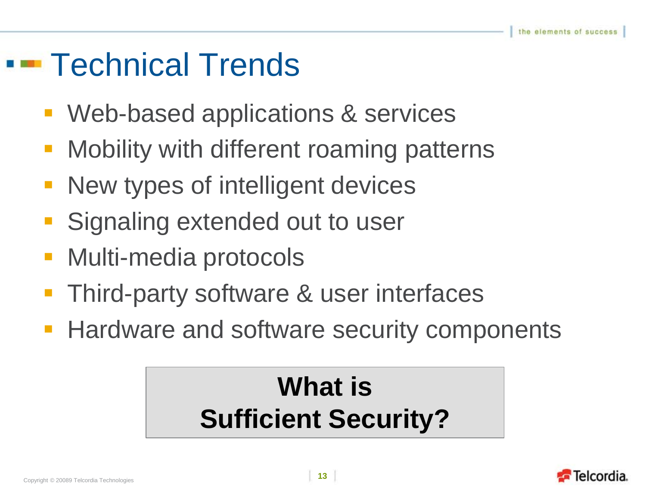# **Technical Trends**

- Web-based applications & services
- Mobility with different roaming patterns
- New types of intelligent devices
- Signaling extended out to user
- Multi-media protocols
- Third-party software & user interfaces
- **Hardware and software security components**

### **What is Sufficient Security?**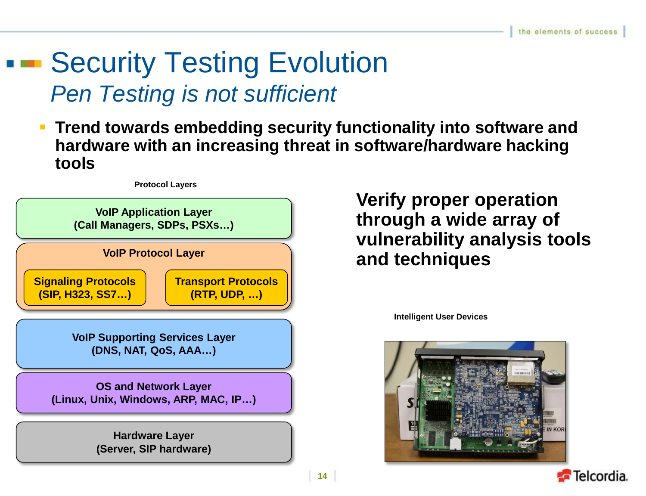#### Security Testing Evolution *Pen Testing is not sufficient*

 **Trend towards embedding security functionality into software and hardware with an increasing threat in software/hardware hacking tools**



**Verify proper operation through a wide array of vulnerability analysis tools and techniques** 

**Intelligent User Devices**

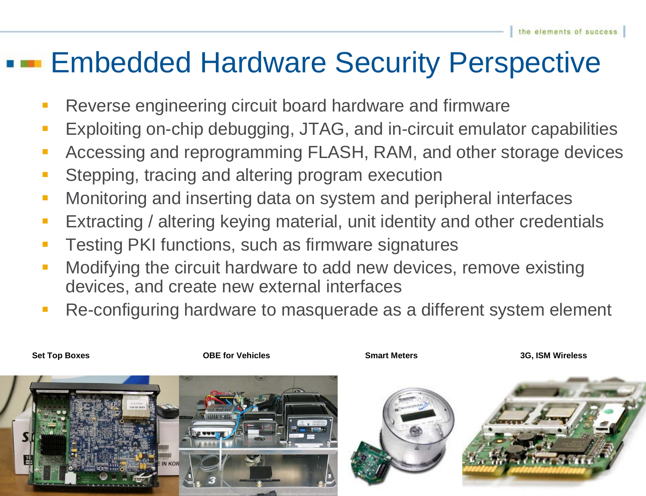#### Embedded Hardware Security Perspective

- Reverse engineering circuit board hardware and firmware
- Exploiting on-chip debugging, JTAG, and in-circuit emulator capabilities
- Accessing and reprogramming FLASH, RAM, and other storage devices
- Stepping, tracing and altering program execution
- Monitoring and inserting data on system and peripheral interfaces
- Extracting / altering keying material, unit identity and other credentials
- Testing PKI functions, such as firmware signatures
- Modifying the circuit hardware to add new devices, remove existing devices, and create new external interfaces
- Re-configuring hardware to masquerade as a different system element

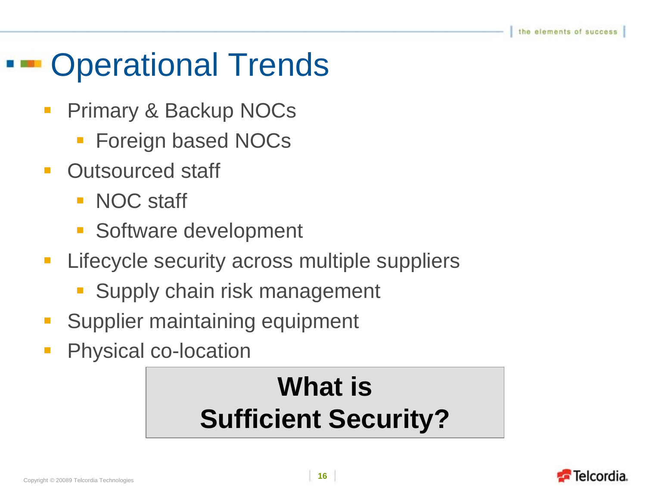# Operational Trends

- Primary & Backup NOCs
	- **Foreign based NOCs**
- **Outsourced staff** 
	- **NOC staff**
	- **Software development**
- Lifecycle security across multiple suppliers
	- **Supply chain risk management**
- Supplier maintaining equipment
- Physical co-location

### **What is Sufficient Security?**

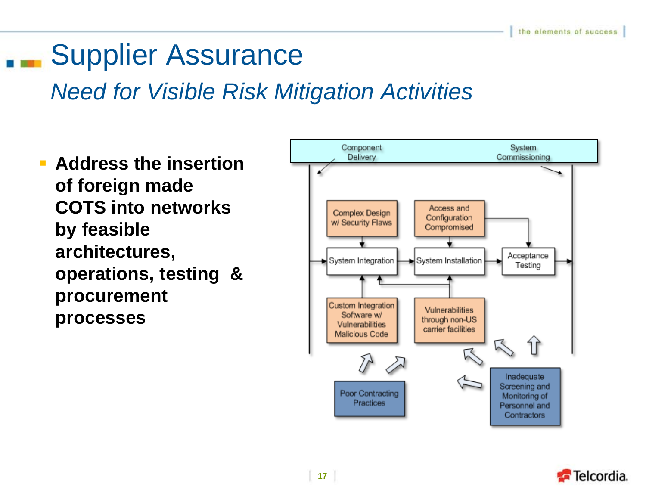### Supplier Assurance

*Need for Visible Risk Mitigation Activities*

 **Address the insertion of foreign made COTS into networks by feasible architectures, operations, testing & procurement processes**



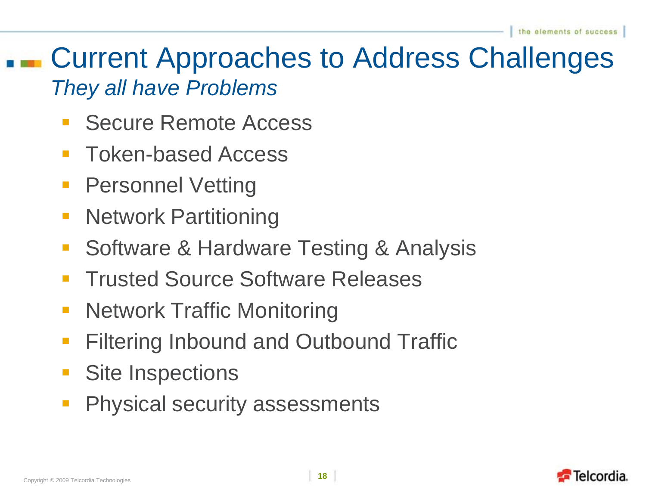# Current Approaches to Address Challenges

#### *They all have Problems*

- **Secure Remote Access**
- **Token-based Access**
- **Personnel Vetting**
- **Network Partitioning**
- Software & Hardware Testing & Analysis
- **Trusted Source Software Releases**
- **Network Traffic Monitoring**
- **Filtering Inbound and Outbound Traffic**
- Site Inspections
- **Physical security assessments**

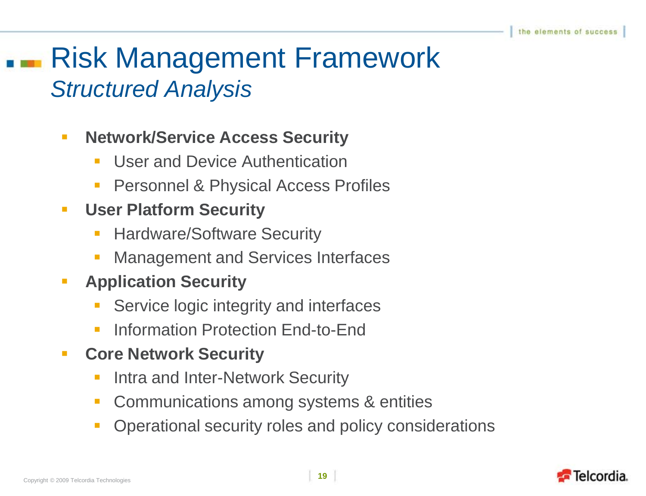# Risk Management Framework

#### *Structured Analysis*

#### **- Network/Service Access Security**

- User and Device Authentication
- Personnel & Physical Access Profiles

#### **User Platform Security**

- Hardware/Software Security
- Management and Services Interfaces

#### **Application Security**

- Service logic integrity and interfaces
- Information Protection End-to-End
- **E** Core Network Security
	- Intra and Inter-Network Security
	- Communications among systems & entities
	- Operational security roles and policy considerations